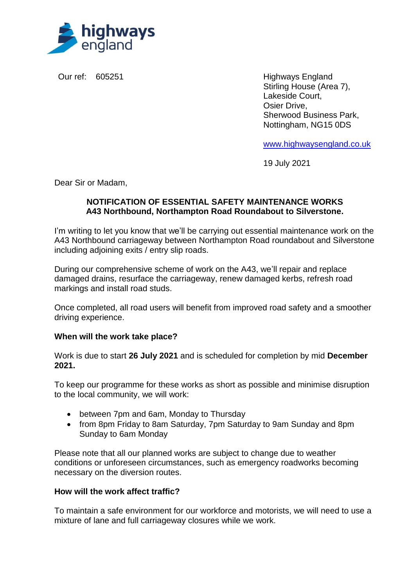

Our ref: 605251 **Highways England** Stirling House (Area 7), Lakeside Court, Osier Drive, Sherwood Business Park, Nottingham, NG15 0DS

[www.highwaysengland.co.uk](http://www.highwaysengland.co.uk/)

19 July 2021

Dear Sir or Madam,

## **NOTIFICATION OF ESSENTIAL SAFETY MAINTENANCE WORKS A43 Northbound, Northampton Road Roundabout to Silverstone.**

I'm writing to let you know that we'll be carrying out essential maintenance work on the A43 Northbound carriageway between Northampton Road roundabout and Silverstone including adjoining exits / entry slip roads.

During our comprehensive scheme of work on the A43, we'll repair and replace damaged drains, resurface the carriageway, renew damaged kerbs, refresh road markings and install road studs.

Once completed, all road users will benefit from improved road safety and a smoother driving experience.

# **When will the work take place?**

Work is due to start **26 July 2021** and is scheduled for completion by mid **December 2021.**

To keep our programme for these works as short as possible and minimise disruption to the local community, we will work:

- between 7pm and 6am, Monday to Thursday
- from 8pm Friday to 8am Saturday, 7pm Saturday to 9am Sunday and 8pm Sunday to 6am Monday

Please note that all our planned works are subject to change due to weather conditions or unforeseen circumstances, such as emergency roadworks becoming necessary on the diversion routes.

### **How will the work affect traffic?**

To maintain a safe environment for our workforce and motorists, we will need to use a mixture of lane and full carriageway closures while we work.